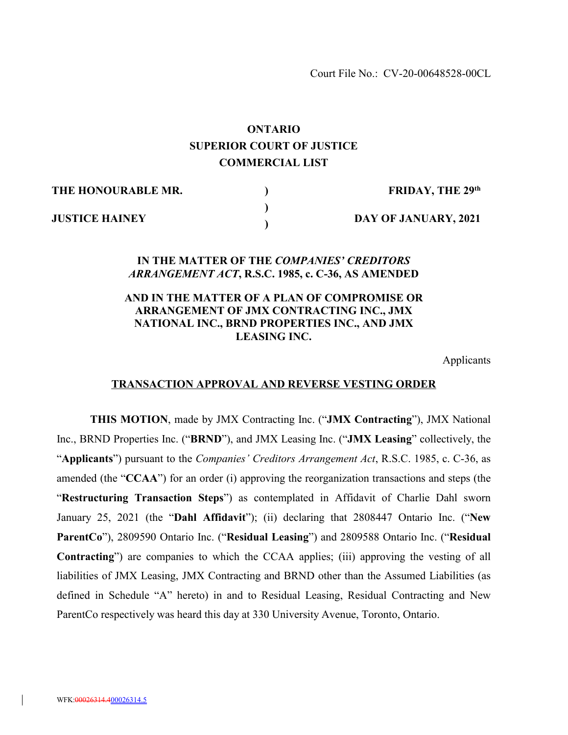Court File No.: CV-20-00648528-00CL

# **ONTARIO SUPERIOR COURT OF JUSTICE COMMERCIAL LIST**

**THE HONOURABLE MR. JUSTICE HAINEY ) ) ) FRIDAY, THE 29th DAY OF JANUARY, 2021**

#### **IN THE MATTER OF THE** *COMPANIES' CREDITORS ARRANGEMENT ACT***, R.S.C. 1985, c. C-36, AS AMENDED**

# **AND IN THE MATTER OF A PLAN OF COMPROMISE OR ARRANGEMENT OF JMX CONTRACTING INC., JMX NATIONAL INC., BRND PROPERTIES INC., AND JMX LEASING INC.**

Applicants

#### **TRANSACTION APPROVAL AND REVERSE VESTING ORDER**

**THIS MOTION**, made by JMX Contracting Inc. ("**JMX Contracting**"), JMX National Inc., BRND Properties Inc. ("**BRND**"), and JMX Leasing Inc. ("**JMX Leasing**" collectively, the "**Applicants**") pursuant to the *Companies' Creditors Arrangement Act*, R.S.C. 1985, c. C-36, as amended (the "**CCAA**") for an order (i) approving the reorganization transactions and steps (the "**Restructuring Transaction Steps**") as contemplated in Affidavit of Charlie Dahl sworn January 25, 2021 (the "**Dahl Affidavit**"); (ii) declaring that 2808447 Ontario Inc. ("**New ParentCo**"), 2809590 Ontario Inc. ("**Residual Leasing**") and 2809588 Ontario Inc. ("**Residual Contracting**") are companies to which the CCAA applies; (iii) approving the vesting of all liabilities of JMX Leasing, JMX Contracting and BRND other than the Assumed Liabilities (as defined in Schedule "A" hereto) in and to Residual Leasing, Residual Contracting and New ParentCo respectively was heard this day at 330 University Avenue, Toronto, Ontario.

 $\mathsf{I}$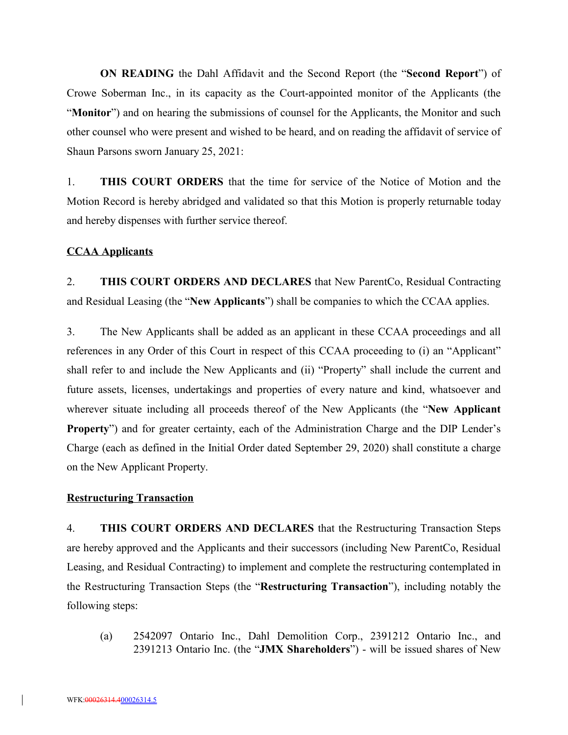**ON READING** the Dahl Affidavit and the Second Report (the "**Second Report**") of Crowe Soberman Inc., in its capacity as the Court-appointed monitor of the Applicants (the "**Monitor**") and on hearing the submissions of counsel for the Applicants, the Monitor and such other counsel who were present and wished to be heard, and on reading the affidavit of service of Shaun Parsons sworn January 25, 2021:

1. **THIS COURT ORDERS** that the time for service of the Notice of Motion and the Motion Record is hereby abridged and validated so that this Motion is properly returnable today and hereby dispenses with further service thereof.

#### **CCAA Applicants**

2. **THIS COURT ORDERS AND DECLARES** that New ParentCo, Residual Contracting and Residual Leasing (the "**New Applicants**") shall be companies to which the CCAA applies.

3. The New Applicants shall be added as an applicant in these CCAA proceedings and all references in any Order of this Court in respect of this CCAA proceeding to (i) an "Applicant" shall refer to and include the New Applicants and (ii) "Property" shall include the current and future assets, licenses, undertakings and properties of every nature and kind, whatsoever and wherever situate including all proceeds thereof of the New Applicants (the "**New Applicant Property**") and for greater certainty, each of the Administration Charge and the DIP Lender's Charge (each as defined in the Initial Order dated September 29, 2020) shall constitute a charge on the New Applicant Property.

#### **Restructuring Transaction**

4. **THIS COURT ORDERS AND DECLARES** that the Restructuring Transaction Steps are hereby approved and the Applicants and their successors (including New ParentCo, Residual Leasing, and Residual Contracting) to implement and complete the restructuring contemplated in the Restructuring Transaction Steps (the "**Restructuring Transaction**"), including notably the following steps:

(a) 2542097 Ontario Inc., Dahl Demolition Corp., 2391212 Ontario Inc., and 2391213 Ontario Inc. (the "**JMX Shareholders**") - will be issued shares of New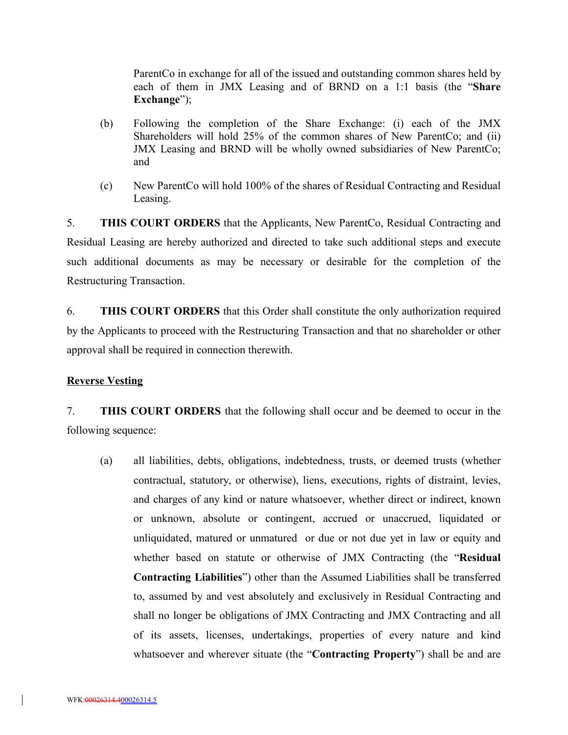ParentCo in exchange for all of the issued and outstanding common shares held by each of them in JMX Leasing and of BRND on a 1:1 basis (the "**Share Exchange**");

- (b) Following the completion of the Share Exchange: (i) each of the JMX Shareholders will hold 25% of the common shares of New ParentCo; and (ii) JMX Leasing and BRND will be wholly owned subsidiaries of New ParentCo; and
- (c) New ParentCo will hold 100% of the shares of Residual Contracting and Residual Leasing.

5. **THIS COURT ORDERS** that the Applicants, New ParentCo, Residual Contracting and Residual Leasing are hereby authorized and directed to take such additional steps and execute such additional documents as may be necessary or desirable for the completion of the Restructuring Transaction.

6. **THIS COURT ORDERS** that this Order shall constitute the only authorization required by the Applicants to proceed with the Restructuring Transaction and that no shareholder or other approval shall be required in connection therewith.

#### **Reverse Vesting**

7. **THIS COURT ORDERS** that the following shall occur and be deemed to occur in the following sequence:

(a) all liabilities, debts, obligations, indebtedness, trusts, or deemed trusts (whether contractual, statutory, or otherwise), liens, executions, rights of distraint, levies, and charges of any kind or nature whatsoever, whether direct or indirect, known or unknown, absolute or contingent, accrued or unaccrued, liquidated or unliquidated, matured or unmatured or due or not due yet in law or equity and whether based on statute or otherwise of JMX Contracting (the "**Residual Contracting Liabilities**") other than the Assumed Liabilities shall be transferred to, assumed by and vest absolutely and exclusively in Residual Contracting and shall no longer be obligations of JMX Contracting and JMX Contracting and all of its assets, licenses, undertakings, properties of every nature and kind whatsoever and wherever situate (the "**Contracting Property**") shall be and are

 $\mathsf{I}$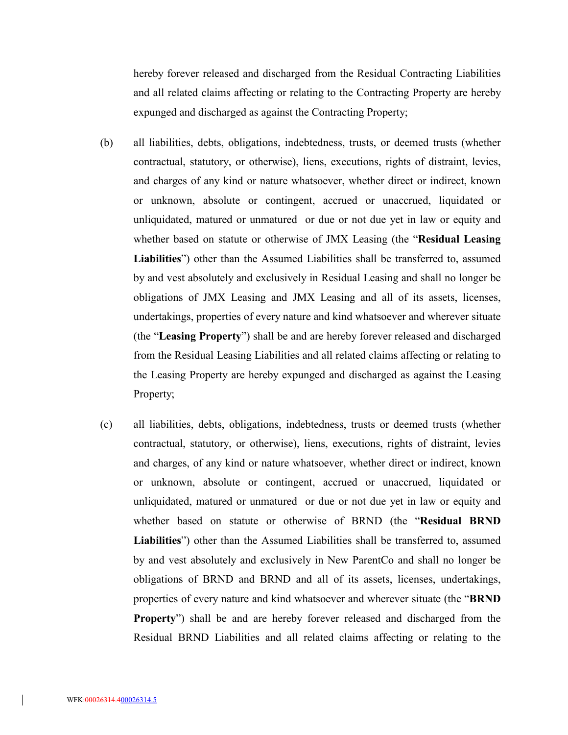hereby forever released and discharged from the Residual Contracting Liabilities and all related claims affecting or relating to the Contracting Property are hereby expunged and discharged as against the Contracting Property;

- (b) all liabilities, debts, obligations, indebtedness, trusts, or deemed trusts (whether contractual, statutory, or otherwise), liens, executions, rights of distraint, levies, and charges of any kind or nature whatsoever, whether direct or indirect, known or unknown, absolute or contingent, accrued or unaccrued, liquidated or unliquidated, matured or unmatured or due or not due yet in law or equity and whether based on statute or otherwise of JMX Leasing (the "**Residual Leasing Liabilities**") other than the Assumed Liabilities shall be transferred to, assumed by and vest absolutely and exclusively in Residual Leasing and shall no longer be obligations of JMX Leasing and JMX Leasing and all of its assets, licenses, undertakings, properties of every nature and kind whatsoever and wherever situate (the "**Leasing Property**") shall be and are hereby forever released and discharged from the Residual Leasing Liabilities and all related claims affecting or relating to the Leasing Property are hereby expunged and discharged as against the Leasing Property;
- (c) all liabilities, debts, obligations, indebtedness, trusts or deemed trusts (whether contractual, statutory, or otherwise), liens, executions, rights of distraint, levies and charges, of any kind or nature whatsoever, whether direct or indirect, known or unknown, absolute or contingent, accrued or unaccrued, liquidated or unliquidated, matured or unmatured or due or not due yet in law or equity and whether based on statute or otherwise of BRND (the "**Residual BRND Liabilities**") other than the Assumed Liabilities shall be transferred to, assumed by and vest absolutely and exclusively in New ParentCo and shall no longer be obligations of BRND and BRND and all of its assets, licenses, undertakings, properties of every nature and kind whatsoever and wherever situate (the "**BRND Property**") shall be and are hereby forever released and discharged from the Residual BRND Liabilities and all related claims affecting or relating to the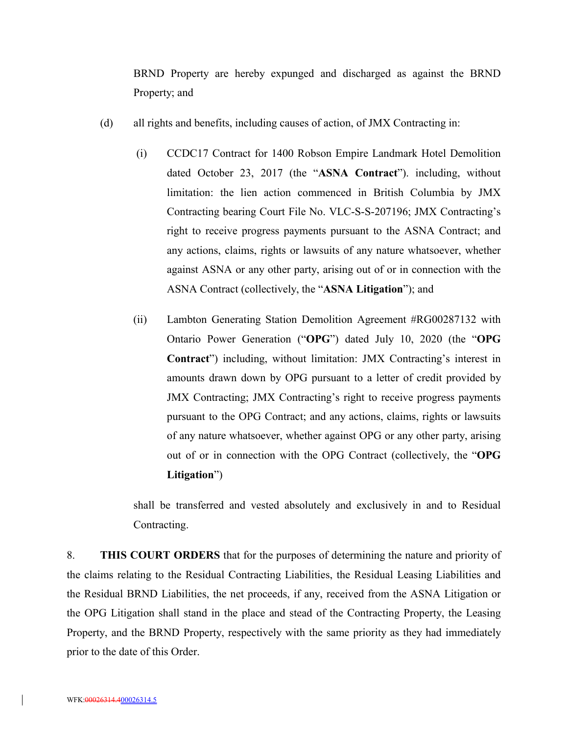BRND Property are hereby expunged and discharged as against the BRND Property; and

- (d) all rights and benefits, including causes of action, of JMX Contracting in:
	- (i) CCDC17 Contract for 1400 Robson Empire Landmark Hotel Demolition dated October 23, 2017 (the "**ASNA Contract**"). including, without limitation: the lien action commenced in British Columbia by JMX Contracting bearing Court File No. VLC-S-S-207196; JMX Contracting's right to receive progress payments pursuant to the ASNA Contract; and any actions, claims, rights or lawsuits of any nature whatsoever, whether against ASNA or any other party, arising out of or in connection with the ASNA Contract (collectively, the "**ASNA Litigation**"); and
	- (ii) Lambton Generating Station Demolition Agreement #RG00287132 with Ontario Power Generation ("**OPG**") dated July 10, 2020 (the "**OPG Contract**") including, without limitation: JMX Contracting's interest in amounts drawn down by OPG pursuant to a letter of credit provided by JMX Contracting; JMX Contracting's right to receive progress payments pursuant to the OPG Contract; and any actions, claims, rights or lawsuits of any nature whatsoever, whether against OPG or any other party, arising out of or in connection with the OPG Contract (collectively, the "**OPG Litigation**")

shall be transferred and vested absolutely and exclusively in and to Residual Contracting.

8. **THIS COURT ORDERS** that for the purposes of determining the nature and priority of the claims relating to the Residual Contracting Liabilities, the Residual Leasing Liabilities and the Residual BRND Liabilities, the net proceeds, if any, received from the ASNA Litigation or the OPG Litigation shall stand in the place and stead of the Contracting Property, the Leasing Property, and the BRND Property, respectively with the same priority as they had immediately prior to the date of this Order.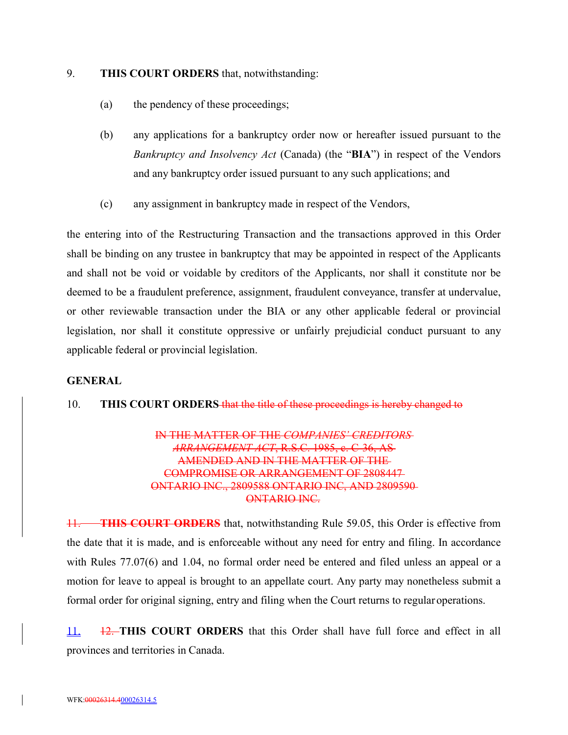#### 9. **THIS COURT ORDERS** that, notwithstanding:

- (a) the pendency of these proceedings;
- (b) any applications for a bankruptcy order now or hereafter issued pursuant to the *Bankruptcy and Insolvency Act* (Canada) (the "**BIA**") in respect of the Vendors and any bankruptcy order issued pursuant to any such applications; and
- (c) any assignment in bankruptcy made in respect of the Vendors,

the entering into of the Restructuring Transaction and the transactions approved in this Order shall be binding on any trustee in bankruptcy that may be appointed in respect of the Applicants and shall not be void or voidable by creditors of the Applicants, nor shall it constitute nor be deemed to be a fraudulent preference, assignment, fraudulent conveyance, transfer at undervalue, or other reviewable transaction under the BIA or any other applicable federal or provincial legislation, nor shall it constitute oppressive or unfairly prejudicial conduct pursuant to any applicable federal or provincial legislation.

#### **GENERAL**

#### 10. **THIS COURT ORDERS** that the title of these proceedings is hereby changed to

IN THE MATTER OF THE *COMPANIES' CREDITORS ARRANGEMENT ACT*, R.S.C. 1985, c. C-36, AS AMENDED AND IN THE MATTER OF THE COMPROMISE OR ARRANGEMENT OF 2808447 ONTARIO INC., 2809588 ONTARIO INC, AND 2809590 ONTARIO INC.

11. **THIS COURT ORDERS** that, notwithstanding Rule 59.05, this Order is effective from the date that it is made, and is enforceable without any need for entry and filing. In accordance with Rules 77.07(6) and 1.04, no formal order need be entered and filed unless an appeal or a motion for leave to appeal is brought to an appellate court. Any party may nonetheless submit a formal order for original signing, entry and filing when the Court returns to regular operations.

11. 12. **THIS COURT ORDERS** that this Order shall have full force and effect in all provinces and territories in Canada.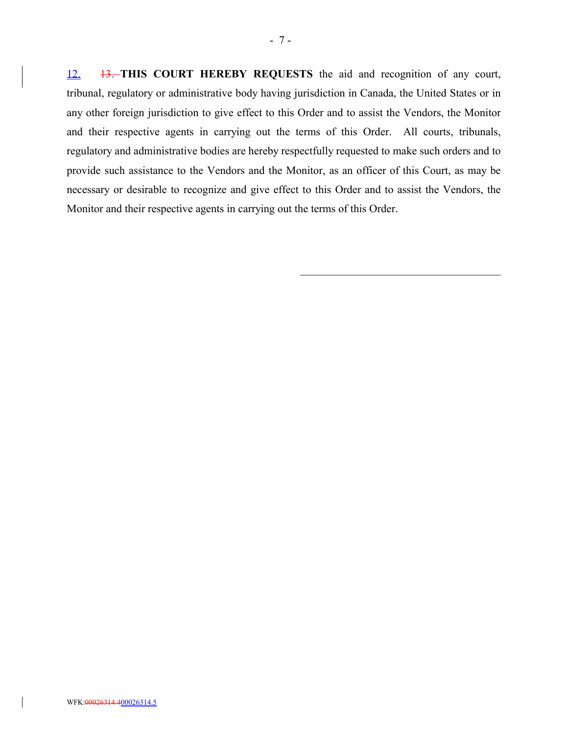12. 13. **THIS COURT HEREBY REQUESTS** the aid and recognition of any court, tribunal, regulatory or administrative body having jurisdiction in Canada, the United States or in any other foreign jurisdiction to give effect to this Order and to assist the Vendors, the Monitor and their respective agents in carrying out the terms of this Order. All courts, tribunals, regulatory and administrative bodies are hereby respectfully requested to make such orders and to provide such assistance to the Vendors and the Monitor, as an officer of this Court, as may be necessary or desirable to recognize and give effect to this Order and to assist the Vendors, the Monitor and their respective agents in carrying out the terms of this Order.

I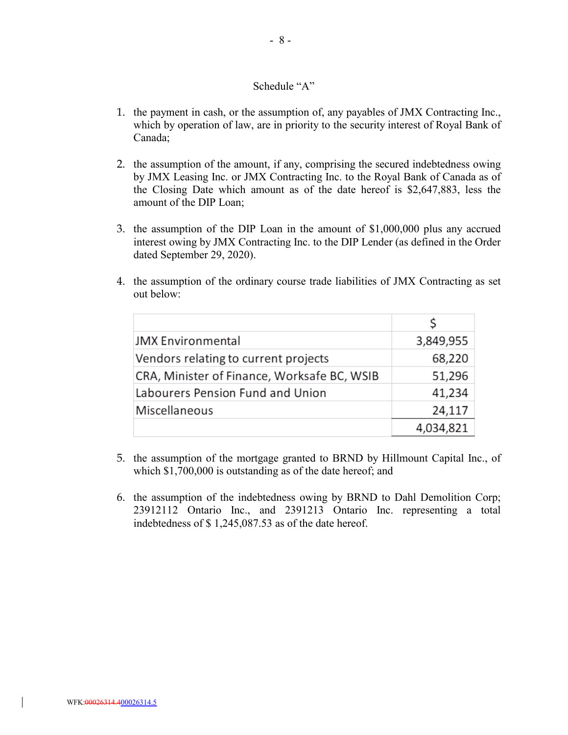#### Schedule "A"

- 1. the payment in cash, or the assumption of, any payables of JMX Contracting Inc., which by operation of law, are in priority to the security interest of Royal Bank of Canada;
- 2. the assumption of the amount, if any, comprising the secured indebtedness owing by JMX Leasing Inc. or JMX Contracting Inc. to the Royal Bank of Canada as of the Closing Date which amount as of the date hereof is \$2,647,883, less the amount of the DIP Loan;
- 3. the assumption of the DIP Loan in the amount of \$1,000,000 plus any accrued interest owing by JMX Contracting Inc. to the DIP Lender (as defined in the Order dated September 29, 2020).
- 4. the assumption of the ordinary course trade liabilities of JMX Contracting as set out below:

| <b>JMX Environmental</b>                    | 3,849,955 |
|---------------------------------------------|-----------|
| Vendors relating to current projects        | 68,220    |
| CRA, Minister of Finance, Worksafe BC, WSIB | 51,296    |
| Labourers Pension Fund and Union            | 41,234    |
| Miscellaneous                               | 24,117    |
|                                             | 4,034,821 |

- 5. the assumption of the mortgage granted to BRND by Hillmount Capital Inc., of which \$1,700,000 is outstanding as of the date hereof; and
- 6. the assumption of the indebtedness owing by BRND to Dahl Demolition Corp; 23912112 Ontario Inc., and 2391213 Ontario Inc. representing a total indebtedness of \$ 1,245,087.53 as of the date hereof.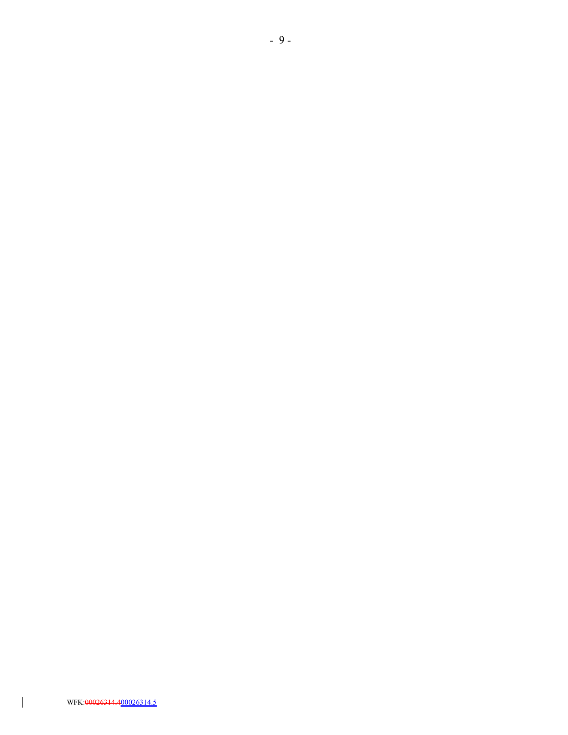

 $\begin{array}{c} \hline \end{array}$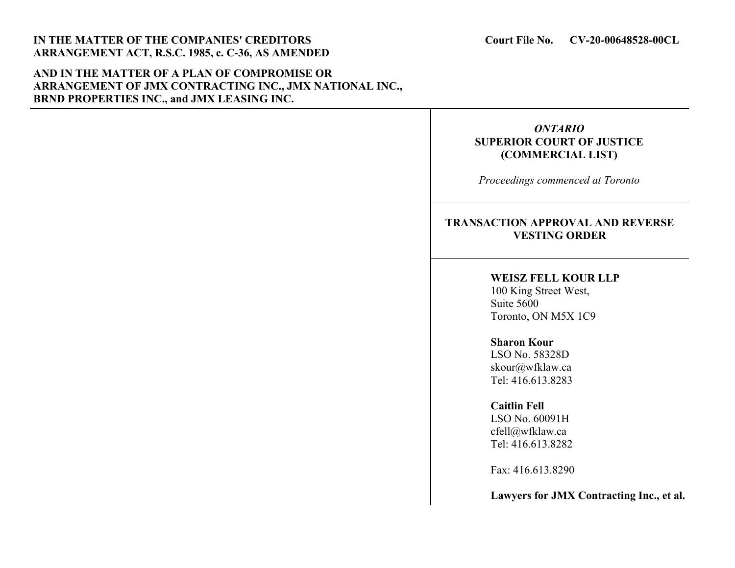### **IN THE MATTER OF THE COMPANIES' CREDITORS ARRANGEMENT ACT, R.S.C. 1985, c. C-36, AS AMENDED**

# **AND IN THE MATTER OF A PLAN OF COMPROMISE OR ARRANGEMENT OF JMX CONTRACTING INC., JMX NATIONAL INC., BRND PROPERTIES INC., and JMX LEASING INC.**

# *ONTARIO* **SUPERIOR COURT OF JUSTICE (COMMERCIAL LIST)**

*Proceedings commenced at Toronto*

## **TRANSACTION APPROVAL AND REVERSE VESTING ORDER**

## **WEISZ FELL KOUR LLP**

100 King Street West, Suite 5600 Toronto, ON M5X 1C9

# **Sharon Kour**

LSO No. 58328D skour@wfklaw.ca Tel: 416.613.8283

### **Caitlin Fell** LSO No. 60091H cfell@wfklaw.ca Tel: 416.613.8282

Fax: 416.613.8290

**Lawyers for JMX Contracting Inc., et al.**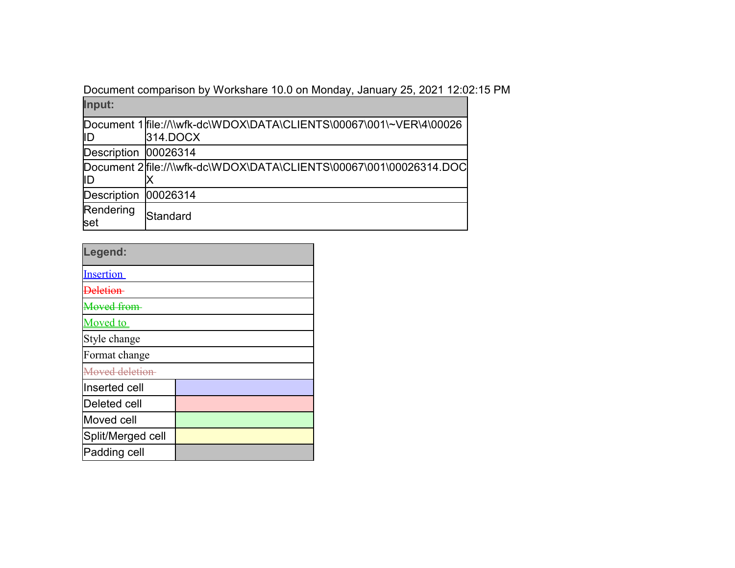Document comparison by Workshare 10.0 on Monday, January 25, 2021 12:02:15 PM **Input:** Document 1 file://\\wfk-dc\WDOX\DATA\CLIENTS\00067\001\~VER\4\00026 ID 314.DOCX Description 00026314 Document 2 file://\\wfk-dc\WDOX\DATA\CLIENTS\00067\001\00026314.DOC ID X Description 00026314 **Rendering** Rendering Standard<br>set

| Legend:           |  |
|-------------------|--|
| <b>Insertion</b>  |  |
| Deletion          |  |
| Moved from        |  |
| Moved to          |  |
| Style change      |  |
| Format change     |  |
| Moved deletion    |  |
| Inserted cell     |  |
| Deleted cell      |  |
| Moved cell        |  |
| Split/Merged cell |  |
| Padding cell      |  |